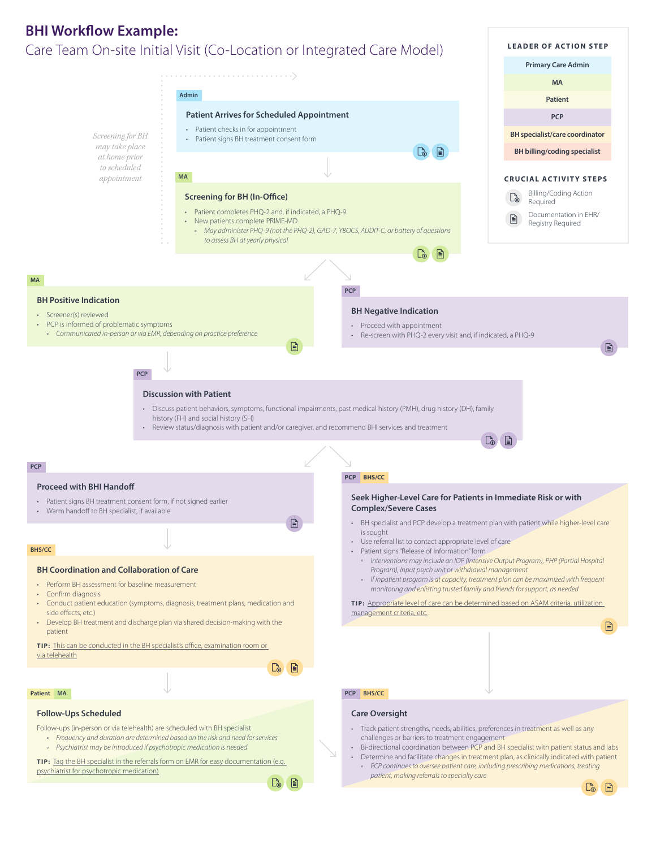## **BHI Workflow Example:** Care Team On-site Initial Visit (Co-Location or Integrated Care Model)



 $\bullet$   $\bullet$ 

*patient, making referrals to specialty care*

 $\Gamma_{\odot}$ 旧

**LEADER OF ACTION STEP**